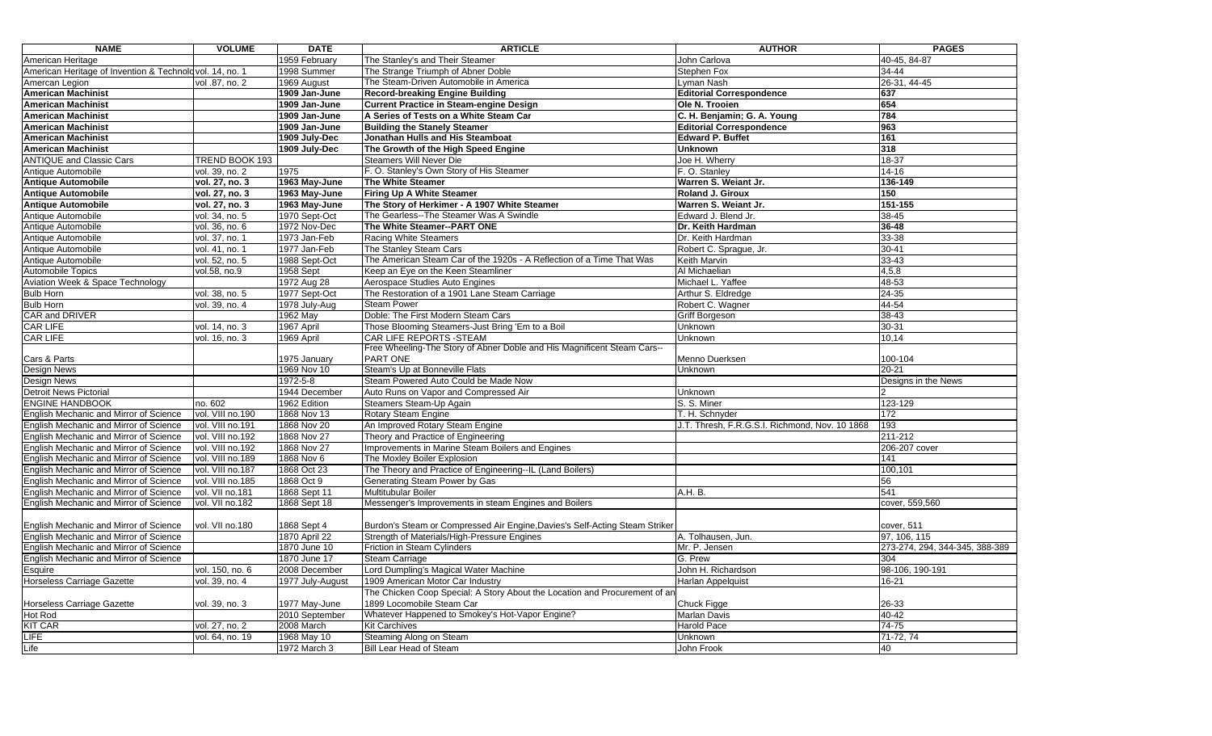| <b>NAME</b>                                             | <b>VOLUME</b>     | <b>DATE</b>      | <b>ARTICLE</b>                                                              | <b>AUTHOR</b>                                  | <b>PAGES</b>                   |
|---------------------------------------------------------|-------------------|------------------|-----------------------------------------------------------------------------|------------------------------------------------|--------------------------------|
| American Heritage                                       |                   | 1959 February    | The Stanley's and Their Steamer                                             | John Carlova                                   | 40-45, 84-87                   |
| American Heritage of Invention & Technolovol. 14, no. 1 |                   | 1998 Summer      | The Strange Triumph of Abner Doble                                          | Stephen Fox                                    | 34-44                          |
| Amercan Legion                                          | vol .87, no. 2    | 1969 August      | The Steam-Driven Automobile in America                                      | Lyman Nash                                     | 26-31, 44-45                   |
| <b>American Machinist</b>                               |                   | 1909 Jan-June    | <b>Record-breaking Engine Building</b>                                      | <b>Editorial Correspondence</b>                | 637                            |
| <b>American Machinist</b>                               |                   | 1909 Jan-June    | <b>Current Practice in Steam-engine Design</b>                              | Ole N. Trooien                                 | 654                            |
| <b>American Machinist</b>                               |                   | 1909 Jan-June    | A Series of Tests on a White Steam Car                                      | C. H. Benjamin; G. A. Young                    | 784                            |
| <b>American Machinist</b>                               |                   | 1909 Jan-June    | <b>Building the Stanely Steamer</b>                                         | <b>Editorial Correspondence</b>                | 963                            |
| <b>American Machinist</b>                               |                   | 1909 July-Dec    | Jonathan Hulls and His Steamboat                                            | <b>Edward P. Buffet</b>                        | 161                            |
| <b>American Machinist</b>                               |                   | 1909 July-Dec    | The Growth of the High Speed Engine                                         | Unknown                                        | $\overline{318}$               |
| <b>ANTIQUE and Classic Cars</b>                         | TREND BOOK 193    |                  | Steamers Will Never Die                                                     | Joe H. Wherry                                  | 18-37                          |
| Antique Automobile                                      | vol. 39, no. 2    | 1975             | F. O. Stanley's Own Story of His Steamer                                    | F. O. Stanley                                  | $14 - 16$                      |
| <b>Antique Automobile</b>                               | vol. 27, no. 3    | 1963 May-June    | The White Steamer                                                           | Warren S. Weiant Jr.                           | $136 - 149$                    |
| <b>Antique Automobile</b>                               | vol. 27, no. 3    | 1963 May-June    | Firing Up A White Steamer                                                   | Roland J. Giroux                               | 150                            |
| <b>Antique Automobile</b>                               | vol. 27, no. 3    | 1963 May-June    | The Story of Herkimer - A 1907 White Steamer                                | Warren S. Weiant Jr.                           | $151 - 155$                    |
| Antique Automobile                                      | vol. 34, no. 5    | 1970 Sept-Oct    | The Gearless--The Steamer Was A Swindle                                     | Edward J. Blend Jr.                            | 38-45                          |
| Antique Automobile                                      | vol. 36, no. 6    | 1972 Nov-Dec     | The White Steamer--PART ONE                                                 | Dr. Keith Hardman                              | 36-48                          |
| Antique Automobile                                      | vol. 37, no. 1    | 1973 Jan-Feb     | <b>Racing White Steamers</b>                                                | Dr. Keith Hardman                              | 33-38                          |
| Antique Automobile                                      | $vol. 41$ , no. 1 | 1977 Jan-Feb     | The Stanley Steam Cars                                                      | Robert C. Sprague, Jr.                         | 30-41                          |
| Antique Automobile                                      | vol. 52, no. 5    | 1988 Sept-Oct    | The American Steam Car of the 1920s - A Reflection of a Time That Was       | Keith Marvin                                   | $33 - 43$                      |
| <b>Automobile Topics</b>                                | vol.58, no.9      | 1958 Sept        | Keep an Eye on the Keen Steamliner                                          | Al Michaelian                                  | 4,5,8                          |
| Aviation Week & Space Technology                        |                   | 1972 Aug 28      | Aerospace Studies Auto Engines                                              | Michael L. Yaffee                              | 48-53                          |
| <b>Bulb Horn</b>                                        | vol. 38, no. 5    | 1977 Sept-Oct    | The Restoration of a 1901 Lane Steam Carriage                               | Arthur S. Eldredge                             | $24 - 35$                      |
| <b>Bulb Horn</b>                                        | vol. 39, no. 4    | 1978 July-Aug    | <b>Steam Power</b>                                                          | Robert C. Wagner                               | $44 - 54$                      |
| CAR and DRIVER                                          |                   | 1962 May         | Doble: The First Modern Steam Cars                                          | Griff Borgeson                                 | 38-43                          |
| CAR LIFE                                                | vol. 14, no. 3    | 1967 April       | Those Blooming Steamers-Just Bring 'Em to a Boil                            | Unknown                                        | 30-31                          |
| <b>CAR LIFE</b>                                         | vol. 16, no. 3    | 1969 April       | <b>CAR LIFE REPORTS - STEAM</b>                                             | Unknown                                        | 10.14                          |
|                                                         |                   |                  | Free Wheeling-The Story of Abner Doble and His Magnificent Steam Cars--     |                                                |                                |
| Cars & Parts                                            |                   | 1975 January     | PART ONE                                                                    | Menno Duerksen                                 | 100-104                        |
| Design News                                             |                   | 1969 Nov 10      | Steam's Up at Bonneville Flats                                              | <b>Unknown</b>                                 | 20-21                          |
| <b>Design News</b>                                      |                   | 1972-5-8         | Steam Powered Auto Could be Made Now                                        |                                                | Designs in the News            |
| <b>Detroit News Pictorial</b>                           |                   | 1944 December    | Auto Runs on Vapor and Compressed Air                                       | Unknown                                        |                                |
| <b>ENGINE HANDBOOK</b>                                  | no. 602           | 1962 Edition     | Steamers Steam-Up Again                                                     | S. S. Miner                                    | 123-129                        |
| English Mechanic and Mirror of Science                  | vol. VIII no.190  | 1868 Nov 13      | <b>Rotary Steam Engine</b>                                                  | T. H. Schnyder                                 | 172                            |
| English Mechanic and Mirror of Science                  | vol. VIII no.191  | 1868 Nov 20      | An Improved Rotary Steam Engine                                             | J.T. Thresh, F.R.G.S.I. Richmond, Nov. 10 1868 | 193                            |
| English Mechanic and Mirror of Science                  | vol. VIII no.192  | 1868 Nov 27      | Theory and Practice of Engineering                                          |                                                | 211-212                        |
| English Mechanic and Mirror of Science                  | vol. VIII no.192  | 1868 Nov 27      | Improvements in Marine Steam Boilers and Engines                            |                                                | 206-207 cover                  |
| English Mechanic and Mirror of Science                  | vol. VIII no.189  | 1868 Nov 6       | The Moxley Boiler Explosion                                                 |                                                | 141                            |
| English Mechanic and Mirror of Science                  | vol. VIII no. 187 | 1868 Oct 23      | The Theory and Practice of Engineering--IL (Land Boilers)                   |                                                | 100.101                        |
| English Mechanic and Mirror of Science                  | vol. VIII no.185  | 1868 Oct 9       | Generating Steam Power by Gas                                               |                                                | 56                             |
| English Mechanic and Mirror of Science                  | vol. VII no.181   | 1868 Sept 11     | Multitubular Boiler                                                         | A.H. B.                                        | 541                            |
| English Mechanic and Mirror of Science                  | vol. VII no.182   | 1868 Sept 18     | Messenger's Improvements in steam Engines and Boilers                       |                                                | cover, 559,560                 |
|                                                         |                   |                  |                                                                             |                                                |                                |
| English Mechanic and Mirror of Science                  | vol. VII no.180   | 1868 Sept 4      | Burdon's Steam or Compressed Air Engine, Davies's Self-Acting Steam Striker |                                                | cover, 511                     |
| English Mechanic and Mirror of Science                  |                   | 1870 April 22    | Strength of Materials/High-Pressure Engines                                 | A. Tolhausen, Jun.                             | 97, 106, 115                   |
| English Mechanic and Mirror of Science                  |                   | 1870 June 10     | Friction in Steam Cylinders                                                 | Mr. P. Jensen                                  | 273-274, 294, 344-345, 388-389 |
| English Mechanic and Mirror of Science                  |                   | 1870 June 17     | <b>Steam Carriage</b>                                                       | G. Prew                                        | 304                            |
| Esquire                                                 | vol. 150, no. 6   | 2008 December    | Lord Dumpling's Magical Water Machine                                       | John H. Richardson                             | 98-106, 190-191                |
| <b>Horseless Carriage Gazette</b>                       | vol. 39, no. 4    | 1977 July-August | 1909 American Motor Car Industry                                            | Harlan Appelquist                              | 16-21                          |
|                                                         |                   |                  | The Chicken Coop Special: A Story About the Location and Procurement of an  |                                                |                                |
| Horseless Carriage Gazette                              | vol. 39, no. 3    | 1977 May-June    | 1899 Locomobile Steam Car                                                   | Chuck Figge                                    | 26-33                          |
| Hot Rod                                                 |                   | 2010 September   | Whatever Happened to Smokey's Hot-Vapor Engine?                             | Marlan Davis                                   | 40-42                          |
| <b>KIT CAR</b>                                          | vol. 27, no. 2    | 2008 March       | <b>Kit Carchives</b>                                                        | <b>Harold Pace</b>                             | $74 - 75$                      |
| <b>IFE</b>                                              | vol. 64, no. 19   | 1968 May 10      | Steaming Along on Steam                                                     | Unknown                                        | 71-72, 74                      |
| Life                                                    |                   | 1972 March 3     | Bill Lear Head of Steam                                                     | John Frook                                     | 40                             |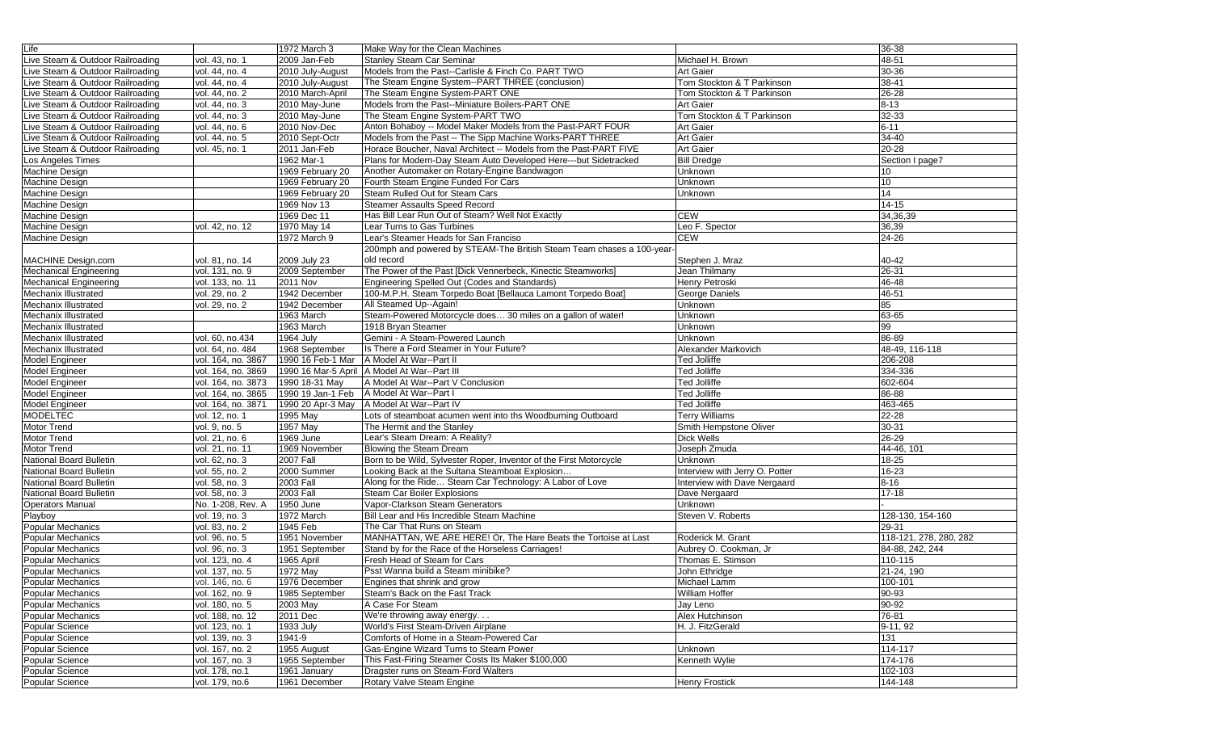| Life                             |                    | 1972 March 3      | Make Way for the Clean Machines                                       |                                | 36-38                  |
|----------------------------------|--------------------|-------------------|-----------------------------------------------------------------------|--------------------------------|------------------------|
| Live Steam & Outdoor Railroading | vol. 43, no. 1     | 2009 Jan-Feb      | <b>Stanley Steam Car Seminar</b>                                      | Michael H. Brown               | 48-51                  |
| Live Steam & Outdoor Railroading | vol. 44, no. 4     | 2010 July-August  | Models from the Past--Carlisle & Finch Co. PART TWO                   | <b>Art Gaier</b>               | 30-36                  |
| Live Steam & Outdoor Railroading | vol. 44, no. 4     | 2010 July-August  | The Steam Engine System--PART THREE (conclusion)                      | Tom Stockton & T Parkinson     | 38-41                  |
| Live Steam & Outdoor Railroading | vol. 44, no. 2     | 2010 March-April  | The Steam Engine System-PART ONE                                      | Tom Stockton & T Parkinson     | 26-28                  |
| Live Steam & Outdoor Railroading | vol. 44, no. 3     | 2010 May-June     | Models from the Past--Miniature Boilers-PART ONE                      | <b>Art Gaier</b>               | $8 - 13$               |
| Live Steam & Outdoor Railroading | vol. 44, no. 3     | 2010 May-June     | The Steam Engine System-PART TWO                                      | Tom Stockton & T Parkinson     | 32-33                  |
| Live Steam & Outdoor Railroading | vol. 44, no. 6     | 2010 Nov-Dec      | Anton Bohaboy -- Model Maker Models from the Past-PART FOUR           | <b>Art Gaier</b>               | $6 - 11$               |
| Live Steam & Outdoor Railroading | vol. 44, no. 5     | 2010 Sept-Octr    | Models from the Past -- The Sipp Machine Works-PART THREE             | <b>Art Gaier</b>               | 34-40                  |
| Live Steam & Outdoor Railroading | vol. 45, no. 1     | 2011 Jan-Feb      | Horace Boucher, Naval Architect -- Models from the Past-PART FIVE     | <b>Art Gaier</b>               | $20 - 28$              |
| Los Angeles Times                |                    | 1962 Mar-1        | Plans for Modern-Day Steam Auto Developed Here---but Sidetracked      | <b>Bill Dredge</b>             | Section I page7        |
| Machine Design                   |                    | 1969 February 20  | Another Automaker on Rotary-Engine Bandwagon                          | Unknown                        | 10                     |
| <b>Machine Design</b>            |                    | 1969 February 20  | Fourth Steam Engine Funded For Cars                                   | Unknown                        | 10                     |
| Machine Design                   |                    | 1969 February 20  | Steam Rulled Out for Steam Cars                                       | Unknown                        | 14                     |
| Machine Design                   |                    | 1969 Nov 13       | Steamer Assaults Speed Record                                         |                                | $14 - 15$              |
| Machine Design                   |                    | 1969 Dec 11       | Has Bill Lear Run Out of Steam? Well Not Exactly                      | <b>CEW</b>                     | 34,36,39               |
| <b>Machine Design</b>            | vol. 42, no. 12    | 1970 May 14       | Lear Turns to Gas Turbines                                            | Leo F. Spector                 | 36,39                  |
| Machine Design                   |                    | 1972 March 9      | Lear's Steamer Heads for San Franciso                                 | <b>CEW</b>                     | $24 - 26$              |
|                                  |                    |                   | 200mph and powered by STEAM-The British Steam Team chases a 100-year- |                                |                        |
| MACHINE Design.com               | vol. 81, no. 14    | 2009 July 23      | old record                                                            | Stephen J. Mraz                | 40-42                  |
| Mechanical Engineering           | vol. 131, no. 9    | 2009 September    | The Power of the Past [Dick Vennerbeck, Kinectic Steamworks]          | Jean Thilmany                  | $26 - 31$              |
| <b>Mechanical Engineering</b>    | vol. 133, no. 11   | 2011 Nov          | Engineering Spelled Out (Codes and Standards)                         | Henry Petroski                 | 46-48                  |
| Mechanix Illustrated             | vol. 29, no. 2     | 1942 December     | 100-M.P.H. Steam Torpedo Boat [Bellauca Lamont Torpedo Boat]          | <b>George Daniels</b>          | 46-51                  |
| Mechanix Illustrated             | vol. 29, no. 2     | 1942 December     | All Steamed Up--Again!                                                | Unknown                        | 85                     |
| Mechanix Illustrated             |                    | 1963 March        | Steam-Powered Motorcycle does 30 miles on a gallon of water!          | Unknown                        | 63-65                  |
| Mechanix Illustrated             |                    | 1963 March        | 1918 Bryan Steamer                                                    | Unknown                        | 99                     |
| Mechanix Illustrated             | vol. 60, no.434    | 1964 July         | Gemini - A Steam-Powered Launch                                       | Unknown                        | 86-89                  |
| Mechanix Illustrated             | vol. 64, no. 484   | 1968 September    | Is There a Ford Steamer in Your Future?                               | Alexander Markovich            | 48-49, 116-118         |
| Model Engineer                   | vol. 164, no. 3867 | 1990 16 Feb-1 Mar | A Model At War--Part II                                               | <b>Ted Jolliffe</b>            | 206-208                |
| Model Engineer                   | vol. 164, no. 3869 |                   | 1990 16 Mar-5 April A Model At War--Part III                          | <b>Ted Jolliffe</b>            | 334-336                |
| Model Engineer                   | vol. 164, no. 3873 | 1990 18-31 May    | A Model At War--Part V Conclusion                                     | <b>Ted Jolliffe</b>            | 602-604                |
| Model Engineer                   | vol. 164, no. 3865 | 1990 19 Jan-1 Feb | A Model At War--Part I                                                | <b>Ted Jolliffe</b>            | 86-88                  |
| Model Engineer                   | vol. 164, no. 3871 | 1990 20 Apr-3 May | A Model At War--Part IV                                               | <b>Ted Jolliffe</b>            | 463-465                |
| <b>MODELTEC</b>                  | vol. 12, no. 1     | 1995 May          | Lots of steamboat acumen went into ths Woodburning Outboard           | <b>Terry Williams</b>          | $22 - 28$              |
| <b>Motor Trend</b>               | vol. 9, no. 5      | 1957 May          | The Hermit and the Stanley                                            | Smith Hempstone Oliver         | $30 - 31$              |
| Motor Trend                      | vol. 21, no. 6     | 1969 June         | Lear's Steam Dream: A Reality?                                        | <b>Dick Wells</b>              | 26-29                  |
| <b>Motor Trend</b>               | vol. 21, no. 11    | 1969 November     | Blowing the Steam Dream                                               | Joseph Zmuda                   | 44-46, 101             |
| National Board Bulletin          | vol. 62, no. 3     | <b>2007 Fall</b>  | Born to be Wild, Sylvester Roper, Inventor of the First Motorcycle    | Unknown                        | 18-25                  |
| National Board Bulletin          | vol. $55, no. 2$   | 2000 Summer       | Looking Back at the Sultana Steamboat Explosion                       | Interview with Jerry O. Potter | 16-23                  |
| National Board Bulletin          | vol. 58, no. 3     | <b>2003 Fall</b>  | Along for the Ride Steam Car Technology: A Labor of Love              | Interview with Dave Nergaard   | $8 - 16$               |
| National Board Bulletin          | vol. 58, no. 3     | <b>2003 Fall</b>  | Steam Car Boiler Explosions                                           | Dave Nergaard                  | $17 - 18$              |
| <b>Operators Manual</b>          | No. 1-208, Rev. A  | 1950 June         | Vapor-Clarkson Steam Generators                                       | Unknown                        |                        |
| Playboy                          | vol. 19, no. 3     | 1972 March        | Bill Lear and His Incredible Steam Machine                            | Steven V. Roberts              | 128-130, 154-160       |
| Popular Mechanics                | vol. 83, no. 2     | 1945 Feb          | The Car That Runs on Steam                                            |                                | 29-31                  |
| Popular Mechanics                | vol. 96, no. 5     | 1951 November     | MANHATTAN, WE ARE HERE! Or, The Hare Beats the Tortoise at Last       | Roderick M. Grant              | 118-121, 278, 280, 282 |
| <b>Popular Mechanics</b>         | vol. 96, no. 3     | 1951 September    | Stand by for the Race of the Horseless Carriages!                     | Aubrey O. Cookman, Jr          | 84-88, 242, 244        |
| Popular Mechanics                | vol. 123, no. 4    | 1965 April        | Fresh Head of Steam for Cars                                          | Thomas E. Stimson              | 110-115                |
| <b>Popular Mechanics</b>         | vol. 137, no. 5    | 1972 May          | Psst Wanna build a Steam minibike?                                    | John Ethridge                  | 21-24, 190             |
| <b>Popular Mechanics</b>         | vol. 146, no. 6    | 1976 December     | Engines that shrink and grow                                          | Michael Lamm                   | 100-101                |
| Popular Mechanics                | vol. 162, no. 9    | 1985 September    | Steam's Back on the Fast Track                                        | <b>William Hoffer</b>          | 90-93                  |
| <b>Popular Mechanics</b>         | vol. 180, no. 5    | 2003 May          | A Case For Steam                                                      | Jay Leno                       | 90-92                  |
| Popular Mechanics                | vol. 188, no. 12   | 2011 Dec          | We're throwing away energy.                                           | Alex Hutchinson                | 76-81                  |
| Popular Science                  | vol. 123, no. 1    | 1933 July         | World's First Steam-Driven Airplane                                   | H. J. FitzGerald               | 9-11, 92               |
| Popular Science                  | vol. 139, no. 3    | 1941-9            | Comforts of Home in a Steam-Powered Car                               |                                | 131                    |
| Popular Science                  | vol. 167, no. 2    | 1955 August       | Gas-Engine Wizard Turns to Steam Power                                | Unknown                        | 114-117                |
| Popular Science                  | vol. 167, no. 3    | 1955 September    | This Fast-Firing Steamer Costs Its Maker \$100,000                    | Kenneth Wylie                  | 174-176                |
| Popular Science                  | vol. 178, no.1     | 1961 January      | Dragster runs on Steam-Ford Walters                                   |                                | 102-103                |
| Popular Science                  | vol. 179, no.6     | 1961 December     | Rotary Valve Steam Engine                                             | <b>Henry Frostick</b>          | 144-148                |
|                                  |                    |                   |                                                                       |                                |                        |